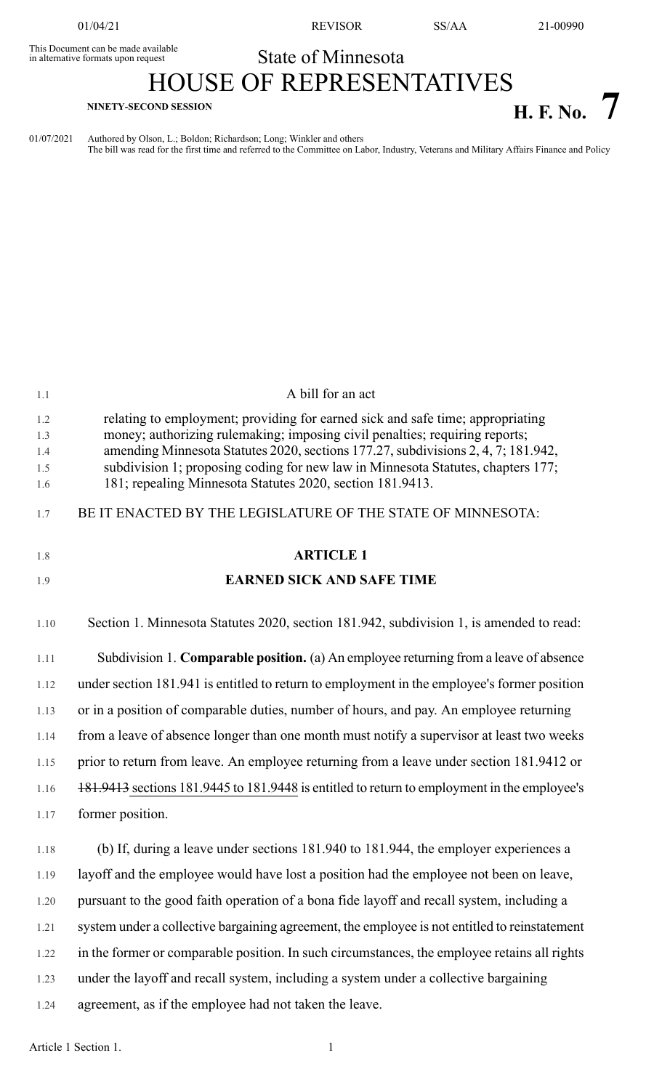This Document can be made available<br>in alternative formats upon request

01/04/21 REVISOR SS/AA 21-00990

# State of Minnesota

HOUSE OF REPRESENTATIVES **H. F. No. 7 NINETY-SECOND SESSION**

01/07/2021 Authored by Olson, L.; Boldon; Richardson; Long; Winkler and others The bill was read for the first time and referred to the Committee on Labor, Industry, Veterans and Military Affairs Finance and Policy

| 1.1               | A bill for an act                                                                                                                                                                                                                  |
|-------------------|------------------------------------------------------------------------------------------------------------------------------------------------------------------------------------------------------------------------------------|
| 1.2<br>1.3        | relating to employment; providing for earned sick and safe time; appropriating<br>money; authorizing rulemaking; imposing civil penalties; requiring reports;                                                                      |
| 1.4<br>1.5<br>1.6 | amending Minnesota Statutes 2020, sections 177.27, subdivisions 2, 4, 7; 181.942,<br>subdivision 1; proposing coding for new law in Minnesota Statutes, chapters 177;<br>181; repealing Minnesota Statutes 2020, section 181.9413. |
| 1.7               | BE IT ENACTED BY THE LEGISLATURE OF THE STATE OF MINNESOTA:                                                                                                                                                                        |
| 1.8               | <b>ARTICLE 1</b>                                                                                                                                                                                                                   |
| 1.9               | <b>EARNED SICK AND SAFE TIME</b>                                                                                                                                                                                                   |
| 1.10              | Section 1. Minnesota Statutes 2020, section 181.942, subdivision 1, is amended to read:                                                                                                                                            |
| 1.11              | Subdivision 1. Comparable position. (a) An employee returning from a leave of absence                                                                                                                                              |
| 1.12              | under section 181.941 is entitled to return to employment in the employee's former position                                                                                                                                        |
| 1.13              | or in a position of comparable duties, number of hours, and pay. An employee returning                                                                                                                                             |
| 1.14              | from a leave of absence longer than one month must notify a supervisor at least two weeks                                                                                                                                          |
| 1.15              | prior to return from leave. An employee returning from a leave under section 181.9412 or                                                                                                                                           |
| 1.16              | 181.9413 sections 181.9445 to 181.9448 is entitled to return to employment in the employee's                                                                                                                                       |
| 1.17              | former position.                                                                                                                                                                                                                   |
| 1.18              | (b) If, during a leave under sections 181.940 to 181.944, the employer experiences a                                                                                                                                               |
| 1.19              | layoff and the employee would have lost a position had the employee not been on leave,                                                                                                                                             |
| 1.20              | pursuant to the good faith operation of a bona fide layoff and recall system, including a                                                                                                                                          |
| 1.21              | system under a collective bargaining agreement, the employee is not entitled to reinstatement                                                                                                                                      |
| 1.22              | in the former or comparable position. In such circumstances, the employee retains all rights                                                                                                                                       |
| 1.23              | under the layoff and recall system, including a system under a collective bargaining                                                                                                                                               |
| 1.24              | agreement, as if the employee had not taken the leave.                                                                                                                                                                             |
|                   |                                                                                                                                                                                                                                    |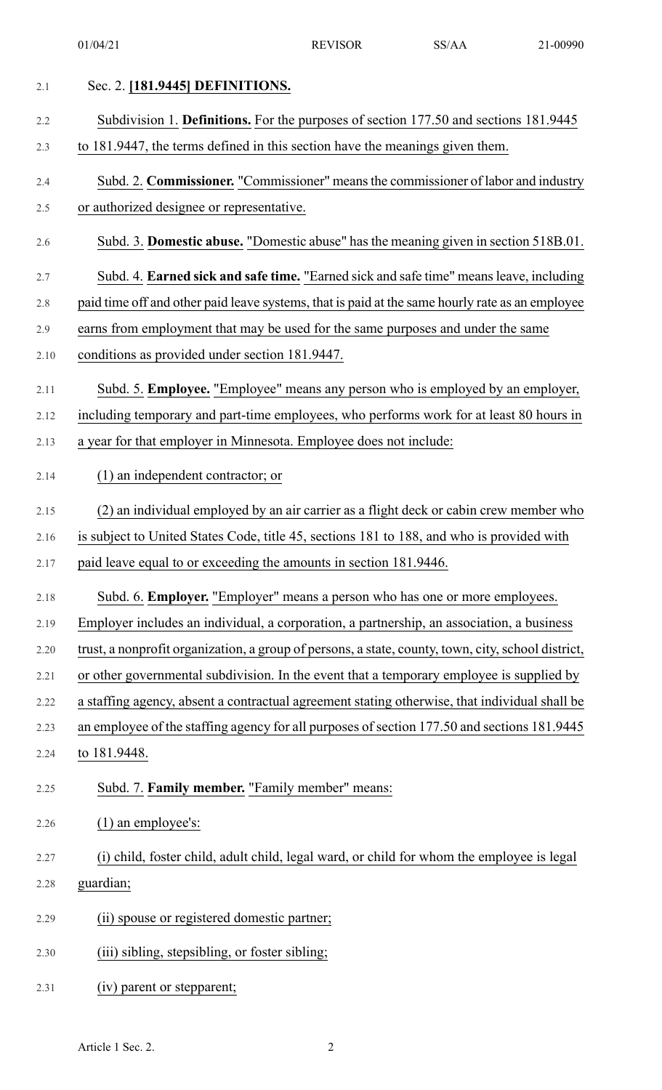| 2.1  | Sec. 2. [181.9445] DEFINITIONS.                                                                    |
|------|----------------------------------------------------------------------------------------------------|
| 2.2  | Subdivision 1. Definitions. For the purposes of section 177.50 and sections 181.9445               |
| 2.3  | to 181.9447, the terms defined in this section have the meanings given them.                       |
| 2.4  | Subd. 2. Commissioner. "Commissioner" means the commissioner of labor and industry                 |
| 2.5  | or authorized designee or representative.                                                          |
| 2.6  | Subd. 3. Domestic abuse. "Domestic abuse" has the meaning given in section 518B.01.                |
| 2.7  | Subd. 4. Earned sick and safe time. "Earned sick and safe time" means leave, including             |
| 2.8  | paid time off and other paid leave systems, that is paid at the same hourly rate as an employee    |
| 2.9  | earns from employment that may be used for the same purposes and under the same                    |
| 2.10 | conditions as provided under section 181.9447.                                                     |
| 2.11 | Subd. 5. Employee. "Employee" means any person who is employed by an employer,                     |
| 2.12 | including temporary and part-time employees, who performs work for at least 80 hours in            |
| 2.13 | a year for that employer in Minnesota. Employee does not include:                                  |
| 2.14 | $(1)$ an independent contractor; or                                                                |
| 2.15 | (2) an individual employed by an air carrier as a flight deck or cabin crew member who             |
| 2.16 | is subject to United States Code, title 45, sections 181 to 188, and who is provided with          |
| 2.17 | paid leave equal to or exceeding the amounts in section 181.9446.                                  |
| 2.18 | Subd. 6. <b>Employer.</b> "Employer" means a person who has one or more employees.                 |
| 2.19 | Employer includes an individual, a corporation, a partnership, an association, a business          |
| 2.20 | trust, a nonprofit organization, a group of persons, a state, county, town, city, school district, |
| 2.21 | or other governmental subdivision. In the event that a temporary employee is supplied by           |
| 2.22 | a staffing agency, absent a contractual agreement stating otherwise, that individual shall be      |
| 2.23 | an employee of the staffing agency for all purposes of section 177.50 and sections 181.9445        |
| 2.24 | to 181.9448.                                                                                       |
| 2.25 | Subd. 7. Family member. "Family member" means:                                                     |
| 2.26 | $(1)$ an employee's:                                                                               |
| 2.27 | (i) child, foster child, adult child, legal ward, or child for whom the employee is legal          |
| 2.28 | guardian;                                                                                          |
| 2.29 | (ii) spouse or registered domestic partner;                                                        |
| 2.30 | (iii) sibling, stepsibling, or foster sibling;                                                     |
| 2.31 | (iv) parent or stepparent;                                                                         |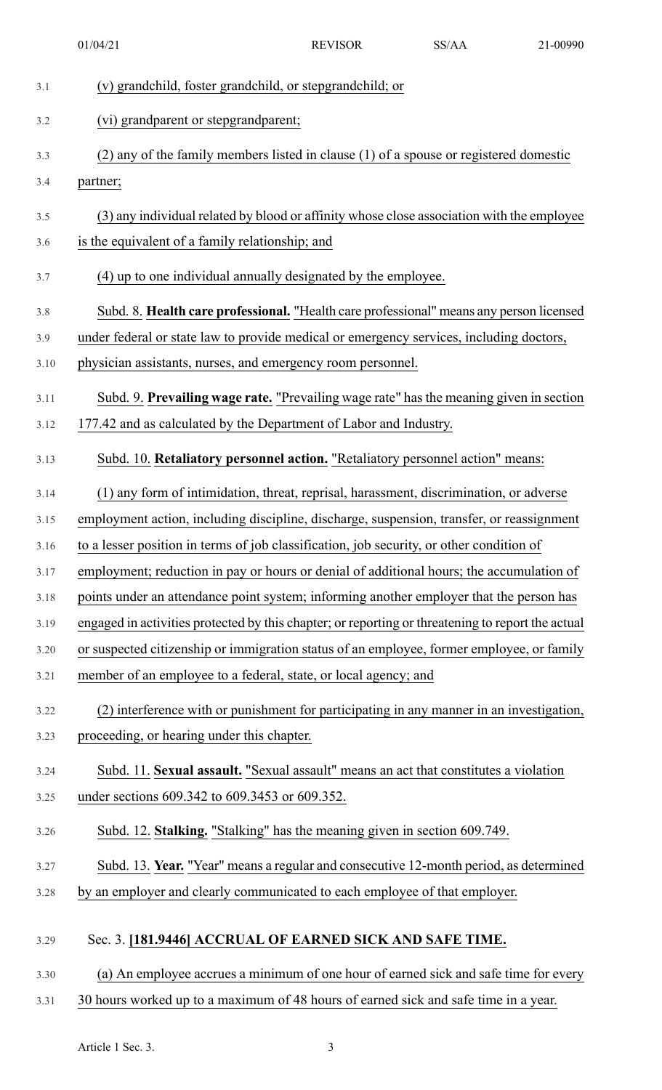|      | 01/04/21                                                                                          | <b>REVISOR</b> | SS/AA | 21-00990 |
|------|---------------------------------------------------------------------------------------------------|----------------|-------|----------|
| 3.1  | (v) grandchild, foster grandchild, or stepgrandchild; or                                          |                |       |          |
| 3.2  | (vi) grandparent or stepgrandparent;                                                              |                |       |          |
| 3.3  | (2) any of the family members listed in clause (1) of a spouse or registered domestic             |                |       |          |
| 3.4  | partner;                                                                                          |                |       |          |
| 3.5  | (3) any individual related by blood or affinity whose close association with the employee         |                |       |          |
| 3.6  | is the equivalent of a family relationship; and                                                   |                |       |          |
| 3.7  | (4) up to one individual annually designated by the employee.                                     |                |       |          |
| 3.8  | Subd. 8. Health care professional. "Health care professional" means any person licensed           |                |       |          |
| 3.9  | under federal or state law to provide medical or emergency services, including doctors,           |                |       |          |
| 3.10 | physician assistants, nurses, and emergency room personnel.                                       |                |       |          |
| 3.11 | Subd. 9. Prevailing wage rate. "Prevailing wage rate" has the meaning given in section            |                |       |          |
| 3.12 | 177.42 and as calculated by the Department of Labor and Industry.                                 |                |       |          |
| 3.13 | Subd. 10. Retaliatory personnel action. "Retaliatory personnel action" means:                     |                |       |          |
| 3.14 | (1) any form of intimidation, threat, reprisal, harassment, discrimination, or adverse            |                |       |          |
| 3.15 | employment action, including discipline, discharge, suspension, transfer, or reassignment         |                |       |          |
| 3.16 | to a lesser position in terms of job classification, job security, or other condition of          |                |       |          |
| 3.17 | employment; reduction in pay or hours or denial of additional hours; the accumulation of          |                |       |          |
| 3.18 | points under an attendance point system; informing another employer that the person has           |                |       |          |
| 3.19 | engaged in activities protected by this chapter; or reporting or threatening to report the actual |                |       |          |
| 3.20 | or suspected citizenship or immigration status of an employee, former employee, or family         |                |       |          |
| 3.21 | member of an employee to a federal, state, or local agency; and                                   |                |       |          |
| 3.22 | (2) interference with or punishment for participating in any manner in an investigation,          |                |       |          |
| 3.23 | proceeding, or hearing under this chapter.                                                        |                |       |          |
| 3.24 | Subd. 11. Sexual assault. "Sexual assault" means an act that constitutes a violation              |                |       |          |
| 3.25 | under sections 609.342 to 609.3453 or 609.352.                                                    |                |       |          |
| 3.26 | Subd. 12. Stalking. "Stalking" has the meaning given in section 609.749.                          |                |       |          |
| 3.27 | Subd. 13. Year. "Year" means a regular and consecutive 12-month period, as determined             |                |       |          |
| 3.28 | by an employer and clearly communicated to each employee of that employer.                        |                |       |          |
| 3.29 | Sec. 3. [181.9446] ACCRUAL OF EARNED SICK AND SAFE TIME.                                          |                |       |          |
| 3.30 | (a) An employee accrues a minimum of one hour of earned sick and safe time for every              |                |       |          |
| 3.31 | 30 hours worked up to a maximum of 48 hours of earned sick and safe time in a year.               |                |       |          |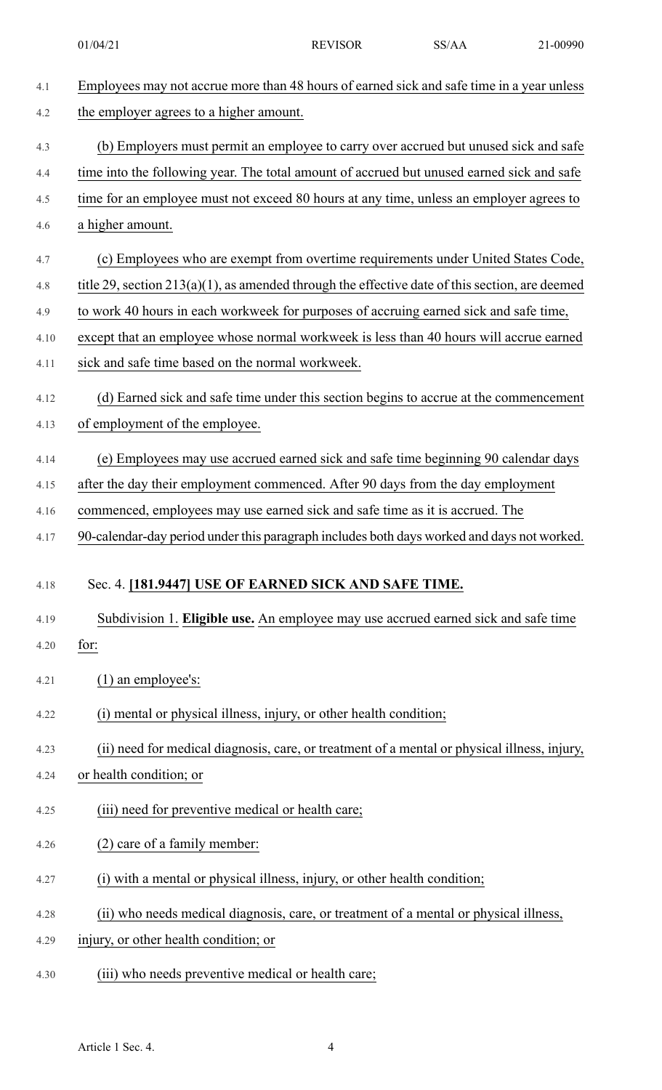01/04/21 REVISOR SS/AA 21-00990

| 4.1  | Employees may not accrue more than 48 hours of earned sick and safe time in a year unless         |
|------|---------------------------------------------------------------------------------------------------|
| 4.2  | the employer agrees to a higher amount.                                                           |
| 4.3  | (b) Employers must permit an employee to carry over accrued but unused sick and safe              |
| 4.4  | time into the following year. The total amount of accrued but unused earned sick and safe         |
| 4.5  | time for an employee must not exceed 80 hours at any time, unless an employer agrees to           |
| 4.6  | a higher amount.                                                                                  |
| 4.7  | (c) Employees who are exempt from overtime requirements under United States Code,                 |
| 4.8  | title 29, section $213(a)(1)$ , as amended through the effective date of this section, are deemed |
| 4.9  | to work 40 hours in each workweek for purposes of accruing earned sick and safe time,             |
| 4.10 | except that an employee whose normal workweek is less than 40 hours will accrue earned            |
| 4.11 | sick and safe time based on the normal workweek.                                                  |
| 4.12 | (d) Earned sick and safe time under this section begins to accrue at the commencement             |
| 4.13 | of employment of the employee.                                                                    |
| 4.14 | (e) Employees may use accrued earned sick and safe time beginning 90 calendar days                |
| 4.15 | after the day their employment commenced. After 90 days from the day employment                   |
| 4.16 | commenced, employees may use earned sick and safe time as it is accrued. The                      |
| 4.17 | 90-calendar-day period under this paragraph includes both days worked and days not worked.        |
| 4.18 | Sec. 4. [181.9447] USE OF EARNED SICK AND SAFE TIME.                                              |
| 4.19 | Subdivision 1. Eligible use. An employee may use accrued earned sick and safe time                |
| 4.20 | for:                                                                                              |
| 4.21 | $(1)$ an employee's:                                                                              |
| 4.22 | (i) mental or physical illness, injury, or other health condition;                                |
| 4.23 | (ii) need for medical diagnosis, care, or treatment of a mental or physical illness, injury,      |
| 4.24 | or health condition; or                                                                           |
| 4.25 | (iii) need for preventive medical or health care;                                                 |
| 4.26 | (2) care of a family member:                                                                      |
| 4.27 | (i) with a mental or physical illness, injury, or other health condition;                         |
| 4.28 | (ii) who needs medical diagnosis, care, or treatment of a mental or physical illness,             |
| 4.29 | injury, or other health condition; or                                                             |
| 4.30 | (iii) who needs preventive medical or health care;                                                |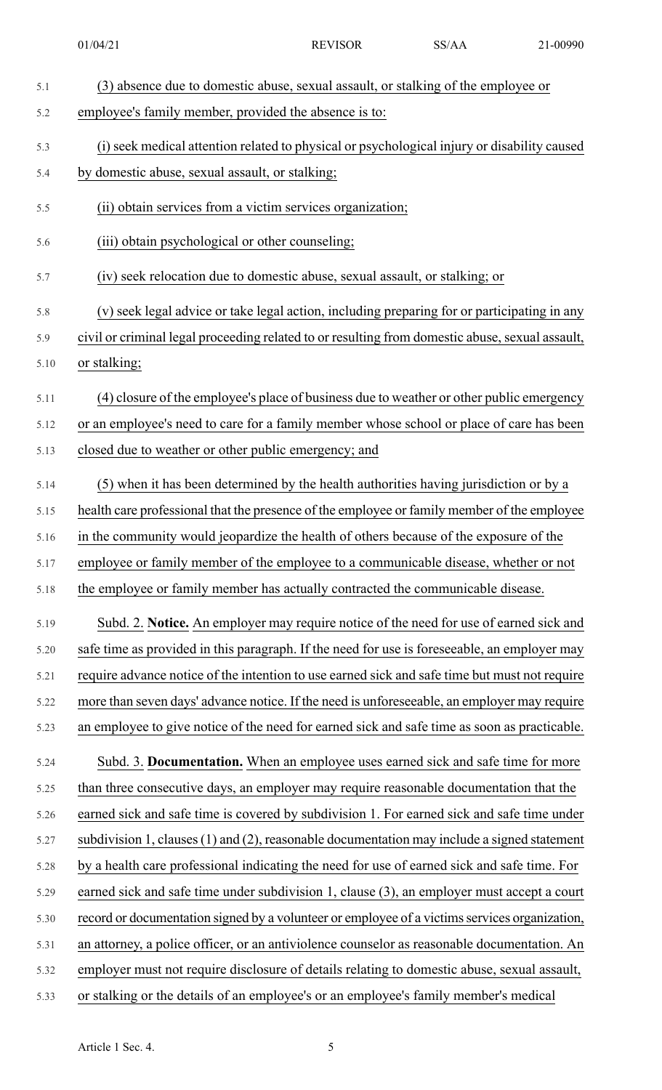| 5.1  | (3) absence due to domestic abuse, sexual assault, or stalking of the employee or                |
|------|--------------------------------------------------------------------------------------------------|
| 5.2  | employee's family member, provided the absence is to:                                            |
| 5.3  | (i) seek medical attention related to physical or psychological injury or disability caused      |
| 5.4  | by domestic abuse, sexual assault, or stalking;                                                  |
| 5.5  | (ii) obtain services from a victim services organization;                                        |
| 5.6  | (iii) obtain psychological or other counseling;                                                  |
| 5.7  | (iv) seek relocation due to domestic abuse, sexual assault, or stalking; or                      |
| 5.8  | (v) seek legal advice or take legal action, including preparing for or participating in any      |
| 5.9  | civil or criminal legal proceeding related to or resulting from domestic abuse, sexual assault,  |
| 5.10 | or stalking;                                                                                     |
| 5.11 | (4) closure of the employee's place of business due to weather or other public emergency         |
| 5.12 | or an employee's need to care for a family member whose school or place of care has been         |
| 5.13 | closed due to weather or other public emergency; and                                             |
| 5.14 | (5) when it has been determined by the health authorities having jurisdiction or by a            |
| 5.15 | health care professional that the presence of the employee or family member of the employee      |
| 5.16 | in the community would jeopardize the health of others because of the exposure of the            |
| 5.17 | employee or family member of the employee to a communicable disease, whether or not              |
| 5.18 | the employee or family member has actually contracted the communicable disease.                  |
| 5.19 | Subd. 2. Notice. An employer may require notice of the need for use of earned sick and           |
| 5.20 | safe time as provided in this paragraph. If the need for use is foreseeable, an employer may     |
| 5.21 | require advance notice of the intention to use earned sick and safe time but must not require    |
| 5.22 | more than seven days' advance notice. If the need is unforeseeable, an employer may require      |
| 5.23 | an employee to give notice of the need for earned sick and safe time as soon as practicable.     |
| 5.24 | Subd. 3. Documentation. When an employee uses earned sick and safe time for more                 |
| 5.25 | than three consecutive days, an employer may require reasonable documentation that the           |
| 5.26 | earned sick and safe time is covered by subdivision 1. For earned sick and safe time under       |
| 5.27 | subdivision 1, clauses $(1)$ and $(2)$ , reasonable documentation may include a signed statement |
| 5.28 | by a health care professional indicating the need for use of earned sick and safe time. For      |
| 5.29 | earned sick and safe time under subdivision 1, clause (3), an employer must accept a court       |
| 5.30 | record or documentation signed by a volunteer or employee of a victims services organization,    |
| 5.31 | an attorney, a police officer, or an antiviolence counselor as reasonable documentation. An      |
| 5.32 | employer must not require disclosure of details relating to domestic abuse, sexual assault,      |
| 5.33 | or stalking or the details of an employee's or an employee's family member's medical             |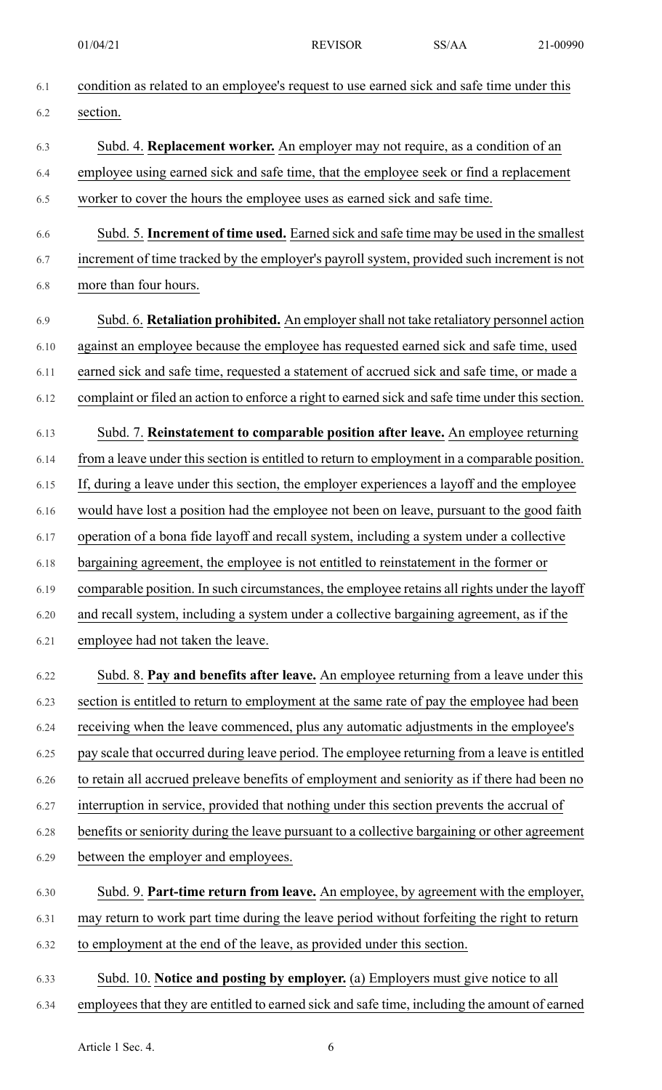| 6.1  | condition as related to an employee's request to use earned sick and safe time under this        |
|------|--------------------------------------------------------------------------------------------------|
| 6.2  | section.                                                                                         |
| 6.3  | Subd. 4. Replacement worker. An employer may not require, as a condition of an                   |
| 6.4  | employee using earned sick and safe time, that the employee seek or find a replacement           |
| 6.5  | worker to cover the hours the employee uses as earned sick and safe time.                        |
| 6.6  | Subd. 5. Increment of time used. Earned sick and safe time may be used in the smallest           |
| 6.7  | increment of time tracked by the employer's payroll system, provided such increment is not       |
| 6.8  | more than four hours.                                                                            |
| 6.9  | Subd. 6. <b>Retaliation prohibited.</b> An employer shall not take retaliatory personnel action  |
| 6.10 | against an employee because the employee has requested earned sick and safe time, used           |
| 6.11 | earned sick and safe time, requested a statement of accrued sick and safe time, or made a        |
| 6.12 | complaint or filed an action to enforce a right to earned sick and safe time under this section. |
| 6.13 | Subd. 7. Reinstatement to comparable position after leave. An employee returning                 |
| 6.14 | from a leave under this section is entitled to return to employment in a comparable position.    |
| 6.15 | If, during a leave under this section, the employer experiences a layoff and the employee        |
| 6.16 | would have lost a position had the employee not been on leave, pursuant to the good faith        |
| 6.17 | operation of a bona fide layoff and recall system, including a system under a collective         |
| 6.18 | bargaining agreement, the employee is not entitled to reinstatement in the former or             |
| 6.19 | comparable position. In such circumstances, the employee retains all rights under the layoff     |
| 6.20 | and recall system, including a system under a collective bargaining agreement, as if the         |
| 6.21 | employee had not taken the leave.                                                                |
| 6.22 | Subd. 8. Pay and benefits after leave. An employee returning from a leave under this             |
| 6.23 | section is entitled to return to employment at the same rate of pay the employee had been        |
| 6.24 | receiving when the leave commenced, plus any automatic adjustments in the employee's             |
| 6.25 | pay scale that occurred during leave period. The employee returning from a leave is entitled     |
| 6.26 | to retain all accrued preleave benefits of employment and seniority as if there had been no      |
| 6.27 | interruption in service, provided that nothing under this section prevents the accrual of        |
| 6.28 | benefits or seniority during the leave pursuant to a collective bargaining or other agreement    |
| 6.29 | between the employer and employees.                                                              |
| 6.30 | Subd. 9. Part-time return from leave. An employee, by agreement with the employer,               |
| 6.31 | may return to work part time during the leave period without forfeiting the right to return      |
| 6.32 | to employment at the end of the leave, as provided under this section.                           |
| 6.33 | Subd. 10. Notice and posting by employer. (a) Employers must give notice to all                  |
| 6.34 | employees that they are entitled to earned sick and safe time, including the amount of earned    |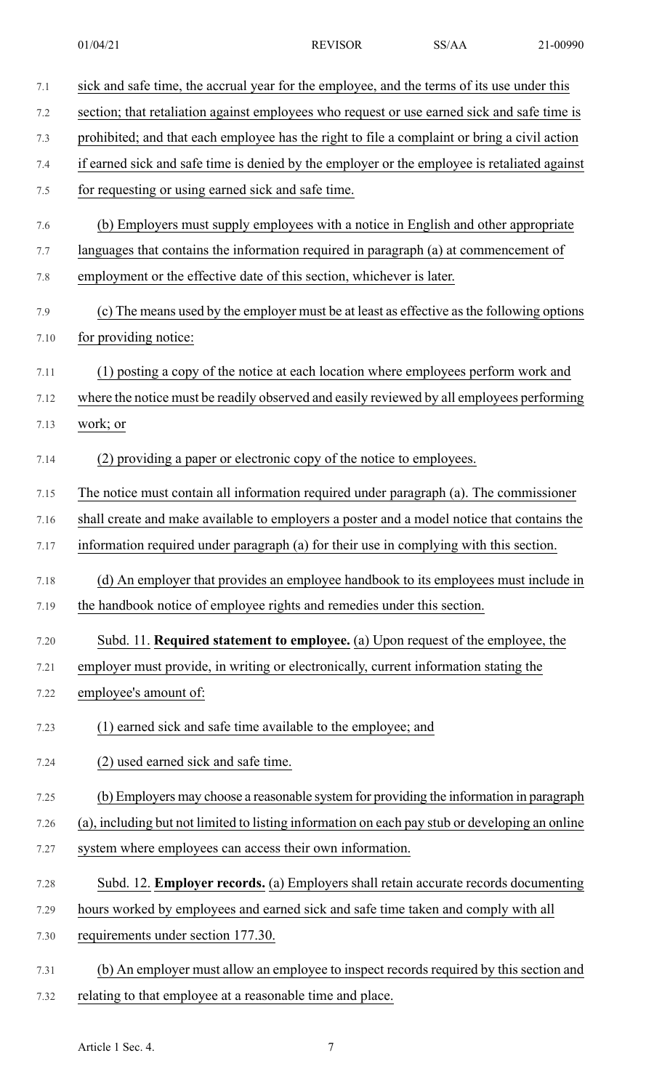| 7.1  | sick and safe time, the accrual year for the employee, and the terms of its use under this     |
|------|------------------------------------------------------------------------------------------------|
| 7.2  | section; that retaliation against employees who request or use earned sick and safe time is    |
| 7.3  | prohibited; and that each employee has the right to file a complaint or bring a civil action   |
| 7.4  | if earned sick and safe time is denied by the employer or the employee is retaliated against   |
| 7.5  | for requesting or using earned sick and safe time.                                             |
| 7.6  | (b) Employers must supply employees with a notice in English and other appropriate             |
| 7.7  | languages that contains the information required in paragraph (a) at commencement of           |
| 7.8  | employment or the effective date of this section, whichever is later.                          |
| 7.9  | (c) The means used by the employer must be at least as effective as the following options      |
| 7.10 | for providing notice:                                                                          |
| 7.11 | (1) posting a copy of the notice at each location where employees perform work and             |
| 7.12 | where the notice must be readily observed and easily reviewed by all employees performing      |
| 7.13 | work; or                                                                                       |
| 7.14 | (2) providing a paper or electronic copy of the notice to employees.                           |
| 7.15 | The notice must contain all information required under paragraph (a). The commissioner         |
| 7.16 | shall create and make available to employers a poster and a model notice that contains the     |
| 7.17 | information required under paragraph (a) for their use in complying with this section.         |
| 7.18 | (d) An employer that provides an employee handbook to its employees must include in            |
| 7.19 | the handbook notice of employee rights and remedies under this section.                        |
| 7.20 | Subd. 11. Required statement to employee. (a) Upon request of the employee, the                |
| 7.21 | employer must provide, in writing or electronically, current information stating the           |
| 7.22 | employee's amount of:                                                                          |
| 7.23 | (1) earned sick and safe time available to the employee; and                                   |
| 7.24 | (2) used earned sick and safe time.                                                            |
| 7.25 | (b) Employers may choose a reasonable system for providing the information in paragraph        |
| 7.26 | (a), including but not limited to listing information on each pay stub or developing an online |
| 7.27 | system where employees can access their own information.                                       |
| 7.28 | Subd. 12. Employer records. (a) Employers shall retain accurate records documenting            |
| 7.29 | hours worked by employees and earned sick and safe time taken and comply with all              |
| 7.30 | requirements under section 177.30.                                                             |
| 7.31 | (b) An employer must allow an employee to inspect records required by this section and         |
| 7.32 | relating to that employee at a reasonable time and place.                                      |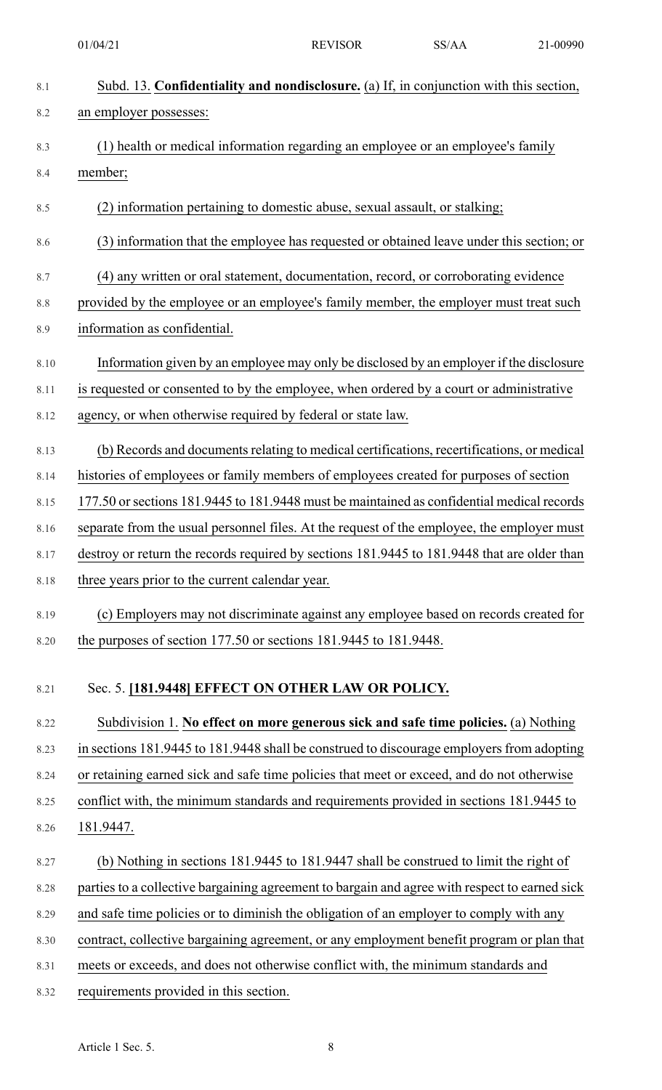8.1 Subd. 13. **Confidentiality and nondisclosure.** (a) If, in conjunction with this section, 8.2 an employer possesses: 8.3 (1) health or medical information regarding an employee or an employee's family 8.4 member; 8.5 (2) information pertaining to domestic abuse, sexual assault, or stalking; 8.6 (3) information that the employee has requested or obtained leave under this section; or 8.7 (4) any written or oral statement, documentation, record, or corroborating evidence 8.8 provided by the employee or an employee's family member, the employer must treat such 8.9 information as confidential. 8.10 Information given by an employee may only be disclosed by an employer if the disclosure 8.11 is requested or consented to by the employee, when ordered by a court or administrative 8.12 agency, or when otherwise required by federal or state law. 8.13 (b) Records and documents relating to medical certifications, recertifications, or medical 8.14 histories of employees or family members of employees created for purposes of section 8.15 177.50 orsections 181.9445 to 181.9448 must be maintained as confidential medical records 8.16 separate from the usual personnel files. At the request of the employee, the employer must 8.17 destroy or return the records required by sections 181.9445 to 181.9448 that are older than 8.18 three years prior to the current calendar year. 8.19 (c) Employers may not discriminate against any employee based on records created for 8.20 the purposes of section 177.50 or sections 181.9445 to 181.9448. 8.21 Sec. 5. **[181.9448] EFFECT ON OTHER LAW OR POLICY.** 8.22 Subdivision 1. **No effect on more generous sick and safe time policies.** (a) Nothing 8.23 in sections 181.9445 to 181.9448 shall be construed to discourage employers from adopting 8.24 or retaining earned sick and safe time policies that meet or exceed, and do not otherwise 8.25 conflict with, the minimum standards and requirements provided in sections 181.9445 to 8.26 181.9447. 8.27 (b) Nothing in sections 181.9445 to 181.9447 shall be construed to limit the right of 8.28 parties to a collective bargaining agreement to bargain and agree with respect to earned sick 8.29 and safe time policies or to diminish the obligation of an employer to comply with any 8.30 contract, collective bargaining agreement, or any employment benefit program or plan that 8.31 meets or exceeds, and does not otherwise conflict with, the minimum standards and 8.32 requirements provided in this section. 01/04/21 REVISOR SS/AA 21-00990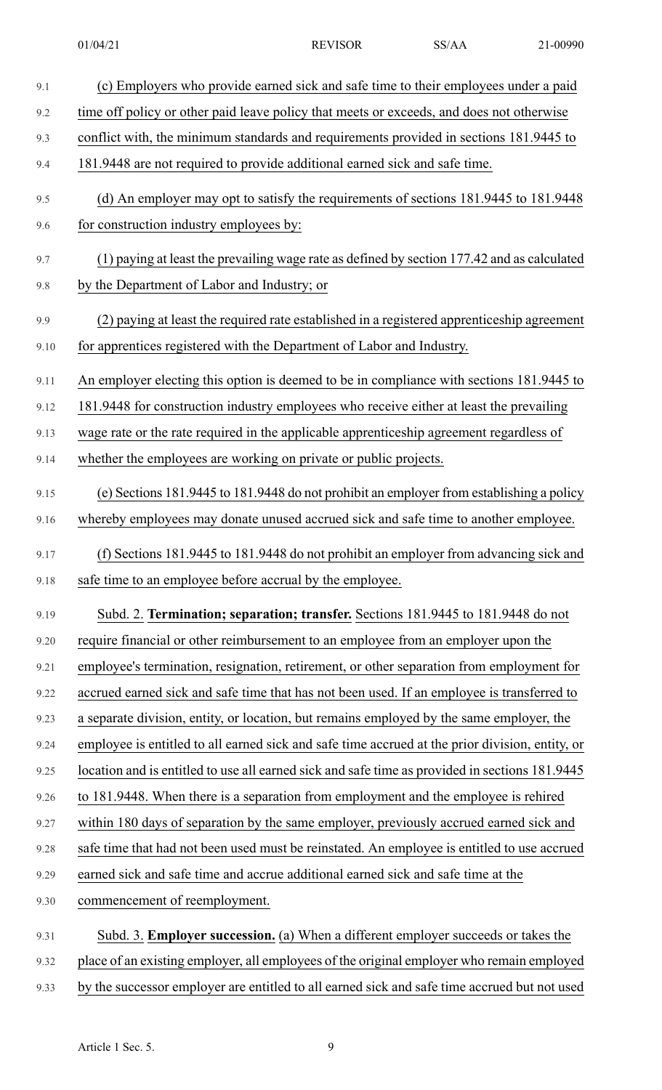| 9.1  | (c) Employers who provide earned sick and safe time to their employees under a paid             |
|------|-------------------------------------------------------------------------------------------------|
| 9.2  | time off policy or other paid leave policy that meets or exceeds, and does not otherwise        |
| 9.3  | conflict with, the minimum standards and requirements provided in sections 181.9445 to          |
| 9.4  | 181.9448 are not required to provide additional earned sick and safe time.                      |
| 9.5  | (d) An employer may opt to satisfy the requirements of sections 181.9445 to 181.9448            |
| 9.6  | for construction industry employees by:                                                         |
| 9.7  | (1) paying at least the prevailing wage rate as defined by section 177.42 and as calculated     |
| 9.8  | by the Department of Labor and Industry; or                                                     |
| 9.9  | (2) paying at least the required rate established in a registered apprenticeship agreement      |
| 9.10 | for apprentices registered with the Department of Labor and Industry.                           |
| 9.11 | An employer electing this option is deemed to be in compliance with sections 181.9445 to        |
| 9.12 | 181.9448 for construction industry employees who receive either at least the prevailing         |
| 9.13 | wage rate or the rate required in the applicable apprenticeship agreement regardless of         |
| 9.14 | whether the employees are working on private or public projects.                                |
| 9.15 | (e) Sections 181.9445 to 181.9448 do not prohibit an employer from establishing a policy        |
| 9.16 | whereby employees may donate unused accrued sick and safe time to another employee.             |
| 9.17 | (f) Sections 181.9445 to 181.9448 do not prohibit an employer from advancing sick and           |
| 9.18 | safe time to an employee before accrual by the employee.                                        |
| 9.19 | Subd. 2. Termination; separation; transfer. Sections 181.9445 to 181.9448 do not                |
| 9.20 | require financial or other reimbursement to an employee from an employer upon the               |
| 9.21 | employee's termination, resignation, retirement, or other separation from employment for        |
| 9.22 | accrued earned sick and safe time that has not been used. If an employee is transferred to      |
| 9.23 | a separate division, entity, or location, but remains employed by the same employer, the        |
| 9.24 | employee is entitled to all earned sick and safe time accrued at the prior division, entity, or |
| 9.25 | location and is entitled to use all earned sick and safe time as provided in sections 181.9445  |
| 9.26 | to 181.9448. When there is a separation from employment and the employee is rehired             |
| 9.27 | within 180 days of separation by the same employer, previously accrued earned sick and          |
| 9.28 | safe time that had not been used must be reinstated. An employee is entitled to use accrued     |
| 9.29 | earned sick and safe time and accrue additional earned sick and safe time at the                |
| 9.30 | commencement of reemployment.                                                                   |
| 9.31 | Subd. 3. Employer succession. (a) When a different employer succeeds or takes the               |
| 9.32 | place of an existing employer, all employees of the original employer who remain employed       |

9.33 by the successor employer are entitled to all earned sick and safe time accrued but not used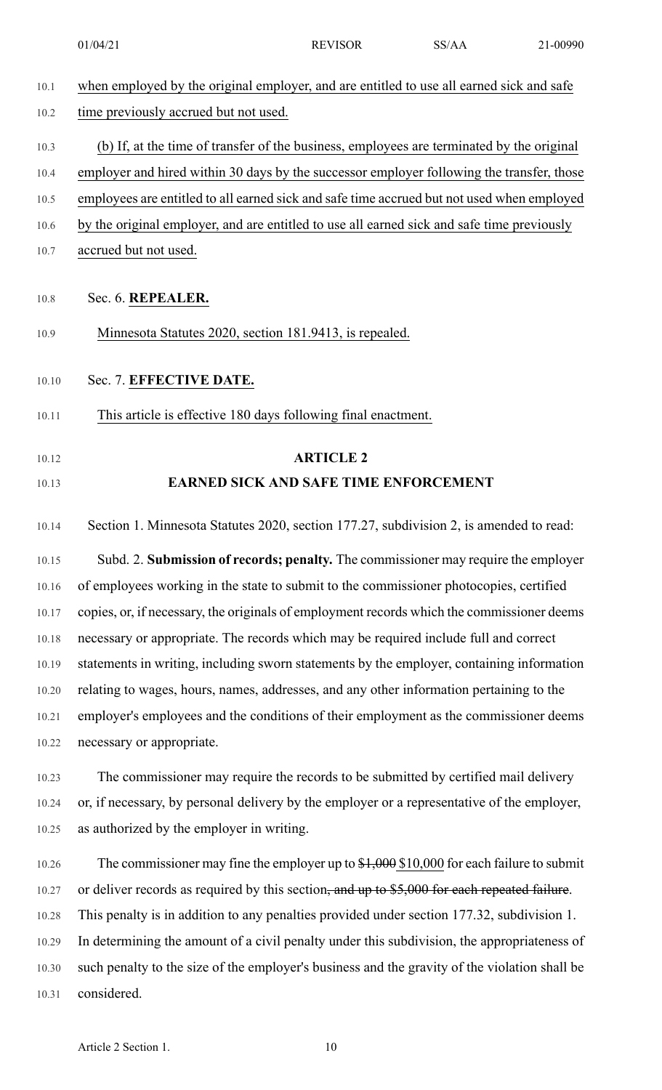01/04/21 REVISOR SS/AA 21-00990

| 10.1  | when employed by the original employer, and are entitled to use all earned sick and safe      |
|-------|-----------------------------------------------------------------------------------------------|
| 10.2  | time previously accrued but not used.                                                         |
| 10.3  | (b) If, at the time of transfer of the business, employees are terminated by the original     |
| 10.4  | employer and hired within 30 days by the successor employer following the transfer, those     |
| 10.5  | employees are entitled to all earned sick and safe time accrued but not used when employed    |
| 10.6  | by the original employer, and are entitled to use all earned sick and safe time previously    |
| 10.7  | accrued but not used.                                                                         |
| 10.8  | Sec. 6. REPEALER.                                                                             |
| 10.9  | Minnesota Statutes 2020, section 181.9413, is repealed.                                       |
| 10.10 | Sec. 7. EFFECTIVE DATE.                                                                       |
| 10.11 | This article is effective 180 days following final enactment.                                 |
| 10.12 | <b>ARTICLE 2</b>                                                                              |
| 10.13 | <b>EARNED SICK AND SAFE TIME ENFORCEMENT</b>                                                  |
| 10.14 | Section 1. Minnesota Statutes 2020, section 177.27, subdivision 2, is amended to read:        |
| 10.15 | Subd. 2. Submission of records; penalty. The commissioner may require the employer            |
| 10.16 | of employees working in the state to submit to the commissioner photocopies, certified        |
| 10.17 | copies, or, if necessary, the originals of employment records which the commissioner deems    |
| 10.18 | necessary or appropriate. The records which may be required include full and correct          |
| 10.19 | statements in writing, including sworn statements by the employer, containing information     |
| 10.20 | relating to wages, hours, names, addresses, and any other information pertaining to the       |
| 10.21 | employer's employees and the conditions of their employment as the commissioner deems         |
| 10.22 | necessary or appropriate.                                                                     |
| 10.23 | The commissioner may require the records to be submitted by certified mail delivery           |
| 10.24 | or, if necessary, by personal delivery by the employer or a representative of the employer,   |
| 10.25 | as authorized by the employer in writing.                                                     |
| 10.26 | The commissioner may fine the employer up to $$1,000$ \$10,000 for each failure to submit     |
| 10.27 | or deliver records as required by this section, and up to \$5,000 for each repeated failure.  |
| 10.28 | This penalty is in addition to any penalties provided under section 177.32, subdivision 1.    |
| 10.29 | In determining the amount of a civil penalty under this subdivision, the appropriateness of   |
| 10.30 | such penalty to the size of the employer's business and the gravity of the violation shall be |
| 10.31 | considered.                                                                                   |
|       |                                                                                               |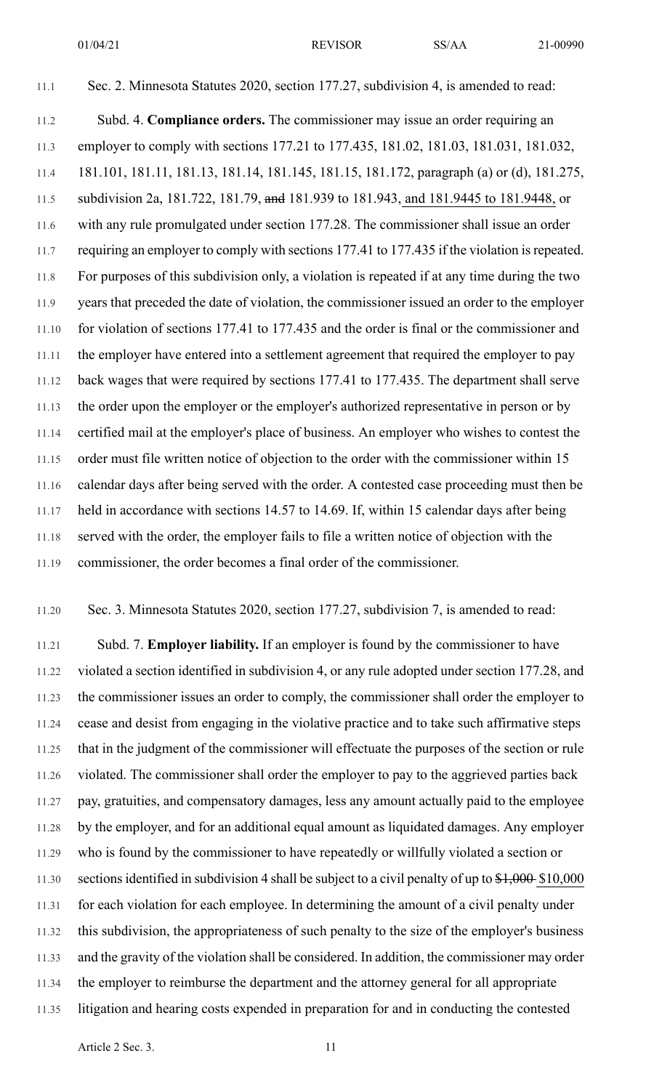01/04/21 REVISOR SS/AA 21-00990

11.1 Sec. 2. Minnesota Statutes 2020, section 177.27, subdivision 4, is amended to read: 11.2 Subd. 4. **Compliance orders.** The commissioner may issue an order requiring an 11.3 employer to comply with sections 177.21 to 177.435, 181.02, 181.03, 181.031, 181.032, 11.4 181.101, 181.11, 181.13, 181.14, 181.145, 181.15, 181.172, paragraph (a) or (d), 181.275, 11.5 subdivision 2a, 181.722, 181.79, and 181.939 to 181.943, and 181.9445 to 181.9448, or 11.6 with any rule promulgated under section 177.28. The commissioner shall issue an order 11.7 requiring an employer to comply with sections 177.41 to 177.435 if the violation is repeated. 11.8 For purposes of this subdivision only, a violation is repeated if at any time during the two 11.9 years that preceded the date of violation, the commissioner issued an order to the employer 11.10 for violation of sections 177.41 to 177.435 and the order is final or the commissioner and 11.11 the employer have entered into a settlement agreement that required the employer to pay 11.12 back wages that were required by sections 177.41 to 177.435. The department shall serve 11.13 the order upon the employer or the employer's authorized representative in person or by 11.14 certified mail at the employer's place of business. An employer who wishes to contest the 11.15 order must file written notice of objection to the order with the commissioner within 15 11.16 calendar days after being served with the order. A contested case proceeding must then be 11.17 held in accordance with sections 14.57 to 14.69. If, within 15 calendar days after being 11.18 served with the order, the employer fails to file a written notice of objection with the 11.19 commissioner, the order becomes a final order of the commissioner.

11.20 Sec. 3. Minnesota Statutes 2020, section 177.27, subdivision 7, is amended to read:

11.21 Subd. 7. **Employer liability.** If an employer is found by the commissioner to have 11.22 violated a section identified in subdivision 4, or any rule adopted under section 177.28, and 11.23 the commissioner issues an order to comply, the commissioner shall order the employer to 11.24 cease and desist from engaging in the violative practice and to take such affirmative steps 11.25 that in the judgment of the commissioner will effectuate the purposes of the section or rule 11.26 violated. The commissioner shall order the employer to pay to the aggrieved parties back 11.27 pay, gratuities, and compensatory damages, less any amount actually paid to the employee 11.28 by the employer, and for an additional equal amount as liquidated damages. Any employer 11.29 who is found by the commissioner to have repeatedly or willfully violated a section or 11.30 sections identified in subdivision 4 shall be subject to a civil penalty of up to  $\frac{$1,000}{$1,000}$ 11.31 for each violation for each employee. In determining the amount of a civil penalty under 11.32 this subdivision, the appropriateness of such penalty to the size of the employer's business 11.33 and the gravity of the violation shall be considered. In addition, the commissioner may order 11.34 the employer to reimburse the department and the attorney general for all appropriate 11.35 litigation and hearing costs expended in preparation for and in conducting the contested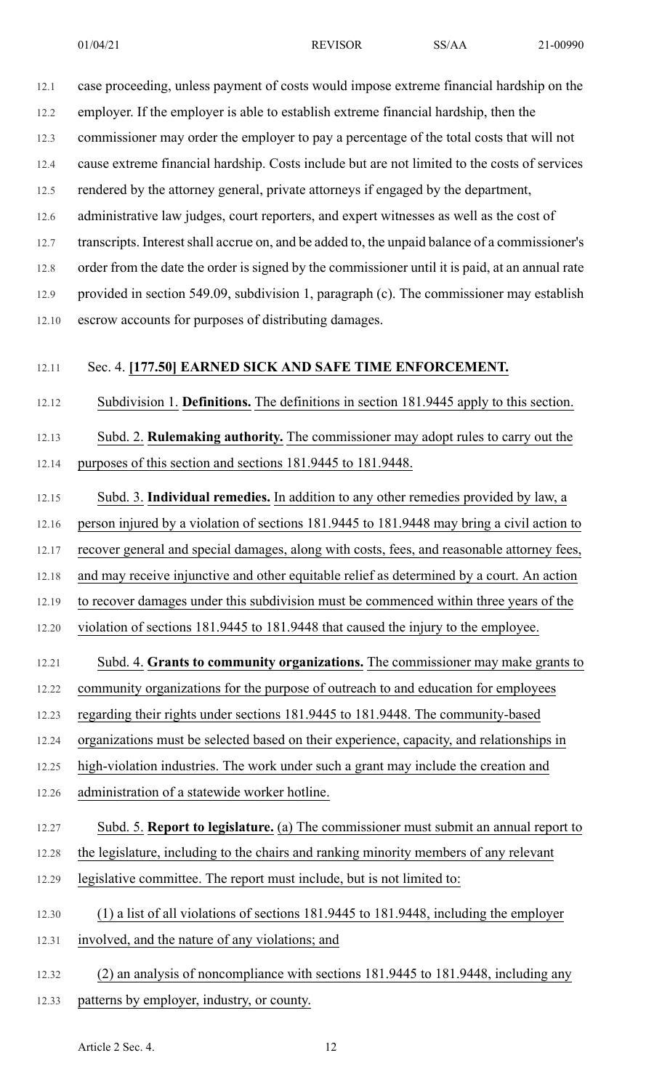12.1 case proceeding, unless payment of costs would impose extreme financial hardship on the

12.2 employer. If the employer is able to establish extreme financial hardship, then the

12.3 commissioner may order the employer to pay a percentage of the total costs that will not

12.4 cause extreme financial hardship. Costs include but are not limited to the costs of services

12.5 rendered by the attorney general, private attorneys if engaged by the department,

12.6 administrative law judges, court reporters, and expert witnesses as well as the cost of

12.7 transcripts. Interest shall accrue on, and be added to, the unpaid balance of a commissioner's

12.8 order from the date the order is signed by the commissioner until it is paid, at an annual rate

12.9 provided in section 549.09, subdivision 1, paragraph (c). The commissioner may establish

12.10 escrow accounts for purposes of distributing damages.

## 12.11 Sec. 4. **[177.50] EARNED SICK AND SAFE TIME ENFORCEMENT.**

12.12 Subdivision 1. **Definitions.** The definitions in section 181.9445 apply to this section.

12.13 Subd. 2. **Rulemaking authority.** The commissioner may adopt rules to carry out the 12.14 purposes of this section and sections 181.9445 to 181.9448.

12.15 Subd. 3. **Individual remedies.** In addition to any other remedies provided by law, a

12.16 person injured by a violation of sections 181.9445 to 181.9448 may bring a civil action to

12.17 recover general and special damages, along with costs, fees, and reasonable attorney fees,

12.18 and may receive injunctive and other equitable relief as determined by a court. An action

12.19 to recover damages under this subdivision must be commenced within three years of the

12.20 violation of sections 181.9445 to 181.9448 that caused the injury to the employee.

# 12.21 Subd. 4. **Grants to community organizations.** The commissioner may make grants to

12.22 community organizations for the purpose of outreach to and education for employees

12.23 regarding their rights under sections 181.9445 to 181.9448. The community-based

12.24 organizations must be selected based on their experience, capacity, and relationships in

12.25 high-violation industries. The work under such a grant may include the creation and

12.26 administration of a statewide worker hotline.

# 12.27 Subd. 5. **Report to legislature.** (a) The commissioner must submit an annual report to

- 12.28 the legislature, including to the chairs and ranking minority members of any relevant
- 12.29 legislative committee. The report must include, but is not limited to:
- 12.30 (1) a list of all violations of sections 181.9445 to 181.9448, including the employer
- 12.31 involved, and the nature of any violations; and
- 12.32 (2) an analysis of noncompliance with sections 181.9445 to 181.9448, including any 12.33 patterns by employer, industry, or county.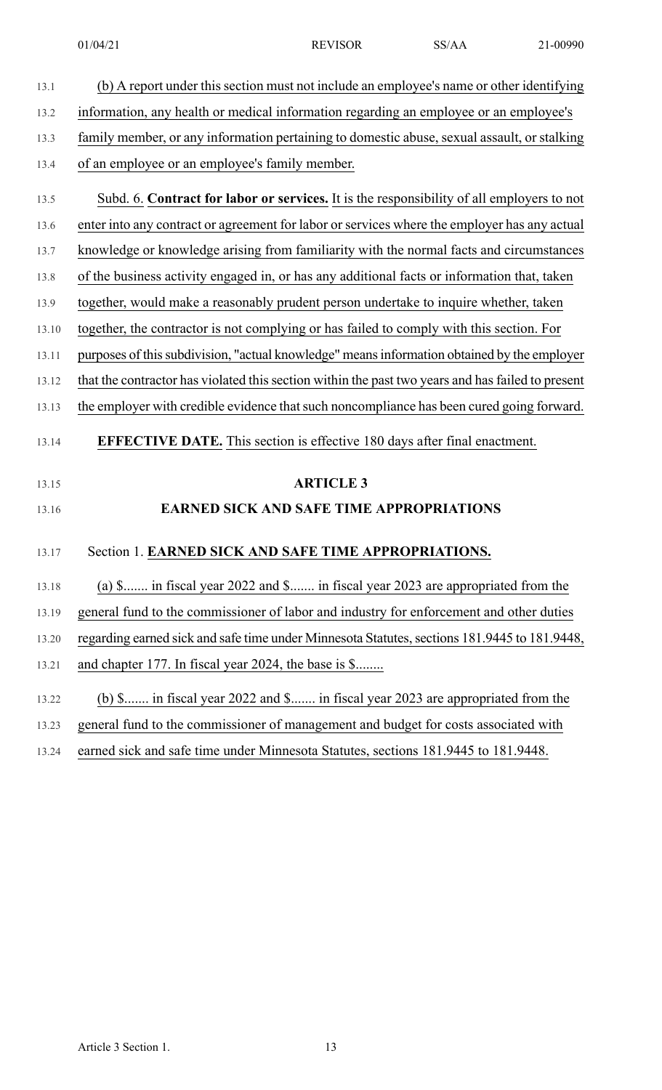| 13.1  | (b) A report under this section must not include an employee's name or other identifying          |
|-------|---------------------------------------------------------------------------------------------------|
| 13.2  | information, any health or medical information regarding an employee or an employee's             |
| 13.3  | family member, or any information pertaining to domestic abuse, sexual assault, or stalking       |
| 13.4  | of an employee or an employee's family member.                                                    |
| 13.5  | Subd. 6. Contract for labor or services. It is the responsibility of all employers to not         |
| 13.6  | enter into any contract or agreement for labor or services where the employer has any actual      |
| 13.7  | knowledge or knowledge arising from familiarity with the normal facts and circumstances           |
| 13.8  | of the business activity engaged in, or has any additional facts or information that, taken       |
| 13.9  | together, would make a reasonably prudent person undertake to inquire whether, taken              |
| 13.10 | together, the contractor is not complying or has failed to comply with this section. For          |
| 13.11 | purposes of this subdivision, "actual knowledge" means information obtained by the employer       |
| 13.12 | that the contractor has violated this section within the past two years and has failed to present |
| 13.13 | the employer with credible evidence that such noncompliance has been cured going forward.         |
| 13.14 | <b>EFFECTIVE DATE.</b> This section is effective 180 days after final enactment.                  |
| 13.15 | <b>ARTICLE 3</b>                                                                                  |
| 13.16 | <b>EARNED SICK AND SAFE TIME APPROPRIATIONS</b>                                                   |
| 13.17 | Section 1. EARNED SICK AND SAFE TIME APPROPRIATIONS.                                              |
| 13.18 | (a) \$ in fiscal year 2022 and \$ in fiscal year 2023 are appropriated from the                   |
| 13.19 | general fund to the commissioner of labor and industry for enforcement and other duties           |
| 13.20 | regarding earned sick and safe time under Minnesota Statutes, sections 181.9445 to 181.9448,      |
| 13.21 | and chapter 177. In fiscal year 2024, the base is \$                                              |
| 13.22 | (b) \$ in fiscal year 2022 and \$ in fiscal year 2023 are appropriated from the                   |
| 13.23 | general fund to the commissioner of management and budget for costs associated with               |
| 13.24 | earned sick and safe time under Minnesota Statutes, sections 181.9445 to 181.9448.                |